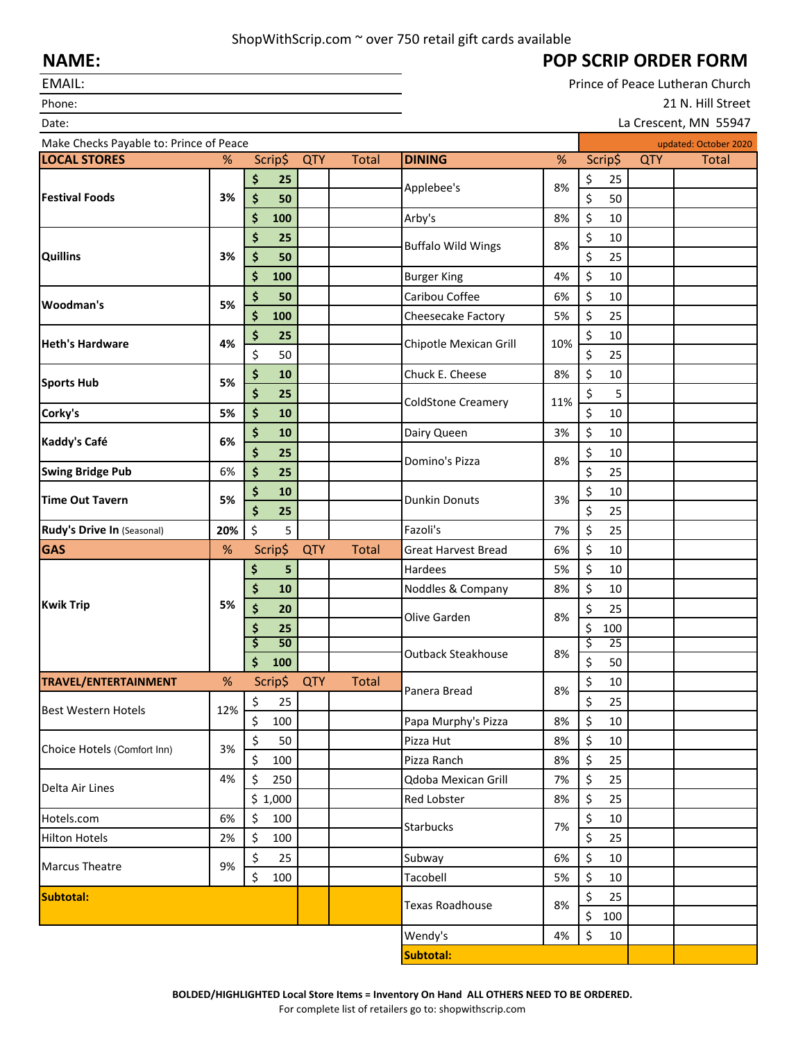## ShopWithScrip.com ~ over 750 retail gift cards available

## **POP SCRIP ORDER FORM**

Prince of Peace Lutheran Church 21 N. Hill Street

La Crescent, MN 55947

## **NAME:**

EMAIL:

Phone:

| Date:                                   |          |           |            |              |                                  |              |              |     | La Crescent, MN 55947 |
|-----------------------------------------|----------|-----------|------------|--------------|----------------------------------|--------------|--------------|-----|-----------------------|
| Make Checks Payable to: Prince of Peace |          |           |            |              |                                  |              |              |     | updated: October 2020 |
| <b>LOCAL STORES</b>                     | %        | Scrip\$   | <b>QTY</b> | <b>Total</b> | <b>DINING</b>                    | $\%$         | Scrip\$      | QTY | <b>Total</b>          |
| <b>Festival Foods</b>                   | 3%       | \$<br>25  |            |              |                                  | 8%           | \$<br>25     |     |                       |
|                                         |          | \$<br>50  |            |              | Applebee's                       |              | \$<br>50     |     |                       |
|                                         |          | \$<br>100 |            |              | Arby's                           | 8%           | \$<br>10     |     |                       |
| <b>Quillins</b>                         | 3%       | \$<br>25  |            |              |                                  |              | \$<br>10     |     |                       |
|                                         |          | \$<br>50  |            |              | <b>Buffalo Wild Wings</b>        | 8%           | \$<br>25     |     |                       |
|                                         |          | \$<br>100 |            |              | <b>Burger King</b>               | 4%           | \$<br>10     |     |                       |
| Woodman's                               | 5%       | \$<br>50  |            |              | Caribou Coffee                   | 6%           | \$<br>10     |     |                       |
|                                         |          | \$<br>100 |            |              | Cheesecake Factory               | 5%           | \$<br>25     |     |                       |
| <b>Heth's Hardware</b>                  | 4%       | \$<br>25  |            |              | Chipotle Mexican Grill           |              | \$<br>10     |     |                       |
|                                         |          | \$<br>50  |            |              |                                  | 10%          | \$<br>25     |     |                       |
|                                         |          | \$<br>10  |            |              | Chuck E. Cheese                  | 8%           | \$<br>$10\,$ |     |                       |
| <b>Sports Hub</b><br>Corky's            | 5%<br>5% | \$<br>25  |            |              | 11%<br><b>ColdStone Creamery</b> |              | \$<br>5      |     |                       |
|                                         |          | \$<br>10  |            |              |                                  | \$<br>$10\,$ |              |     |                       |
|                                         |          | \$<br>10  |            |              | Dairy Queen                      | 3%           | \$<br>10     |     |                       |
| Kaddy's Café                            | 6%       | \$<br>25  |            |              |                                  |              | \$<br>10     |     |                       |
| <b>Swing Bridge Pub</b>                 | 6%       | \$<br>25  |            |              | Domino's Pizza                   | 8%           | \$<br>25     |     |                       |
| <b>Time Out Tavern</b>                  | 5%       | \$<br>10  |            |              |                                  | 3%           | \$<br>10     |     |                       |
|                                         |          | \$<br>25  |            |              | <b>Dunkin Donuts</b>             |              | \$<br>25     |     |                       |
| Rudy's Drive In (Seasonal)              | 20%      | \$<br>5   |            |              | Fazoli's                         | 7%           | \$<br>25     |     |                       |
| <b>GAS</b>                              | $\%$     | Scrip\$   | <b>QTY</b> | <b>Total</b> | <b>Great Harvest Bread</b>       | 6%           | \$<br>10     |     |                       |
| <b>Kwik Trip</b>                        | 5%       | \$<br>5   |            |              | Hardees                          | 5%           | \$<br>10     |     |                       |
|                                         |          | \$<br>10  |            |              | Noddles & Company                | 8%           | \$<br>10     |     |                       |
|                                         |          | \$<br>20  |            |              | Olive Garden<br>8%               | \$<br>25     |              |     |                       |
|                                         |          | \$<br>25  |            |              |                                  |              | \$<br>100    |     |                       |
|                                         |          | \$<br>50  |            |              |                                  | 8%           | \$<br>25     |     |                       |
|                                         |          | \$<br>100 |            |              | <b>Outback Steakhouse</b>        |              | \$<br>50     |     |                       |
| TRAVEL/ENTERTAINMENT                    | $\%$     | Scrip\$   | <b>QTY</b> | <b>Total</b> |                                  |              | \$<br>10     |     |                       |
| Best Western Hotels                     | 12%      | \$<br>25  |            |              | Panera Bread                     | 8%           | \$<br>25     |     |                       |
|                                         |          | \$<br>100 |            |              | Papa Murphy's Pizza              | 8%           | \$<br>10     |     |                       |
| Choice Hotels (Comfort Inn)             | 3%       | \$<br>50  |            |              | Pizza Hut                        | 8%           | \$<br>10     |     |                       |
|                                         |          | \$<br>100 |            |              | Pizza Ranch                      | 8%           | \$<br>25     |     |                       |
| Delta Air Lines                         | 4%       | \$<br>250 |            |              | Qdoba Mexican Grill              | 7%           | \$<br>25     |     |                       |
|                                         |          | \$1,000   |            |              | Red Lobster                      | 8%           | \$<br>25     |     |                       |
| Hotels.com                              | 6%       | \$<br>100 |            |              |                                  |              | \$<br>$10\,$ |     |                       |
| <b>Hilton Hotels</b>                    | 2%       | \$<br>100 |            |              | <b>Starbucks</b>                 | 7%           | \$<br>25     |     |                       |
| <b>Marcus Theatre</b>                   | 9%       | \$<br>25  |            |              | Subway                           | 6%           | \$<br>$10\,$ |     |                       |
|                                         |          | \$<br>100 |            |              | Tacobell                         | 5%           | \$<br>$10\,$ |     |                       |
| Subtotal:                               |          |           |            |              |                                  |              | \$<br>25     |     |                       |
|                                         |          |           |            |              | <b>Texas Roadhouse</b>           | 8%           | \$<br>100    |     |                       |
|                                         |          |           |            |              | Wendy's                          | 4%           | \$<br>10     |     |                       |
|                                         |          |           |            |              | Subtotal:                        |              |              |     |                       |
|                                         |          |           |            |              |                                  |              |              |     |                       |

**BOLDED/HIGHLIGHTED Local Store Items = Inventory On Hand ALL OTHERS NEED TO BE ORDERED.** 

For complete list of retailers go to: shopwithscrip.com